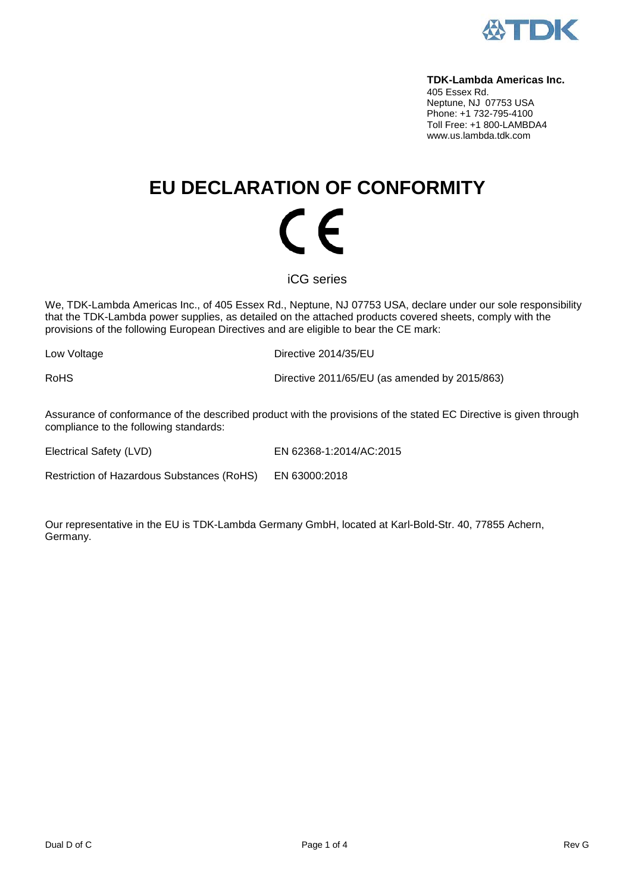

#### **TDK-Lambda Americas Inc.**

405 Essex Rd. Neptune, NJ 07753 USA Phone: +1 732-795-4100 Toll Free: +1 800-LAMBDA4 www.us.lambda.tdk.com

# **EU DECLARATION OF CONFORMITY** (  $\epsilon$

iCG series

We, TDK-Lambda Americas Inc., of 405 Essex Rd., Neptune, NJ 07753 USA, declare under our sole responsibility that the TDK-Lambda power supplies, as detailed on the attached products covered sheets, comply with the provisions of the following European Directives and are eligible to bear the CE mark:

Low Voltage **Directive 2014/35/EU** 

RoHS Directive 2011/65/EU (as amended by 2015/863)

Assurance of conformance of the described product with the provisions of the stated EC Directive is given through compliance to the following standards:

Electrical Safety (LVD) EN 62368-1:2014/AC:2015

Restriction of Hazardous Substances (RoHS) EN 63000:2018

Our representative in the EU is TDK-Lambda Germany GmbH, located at Karl-Bold-Str. 40, 77855 Achern, Germany.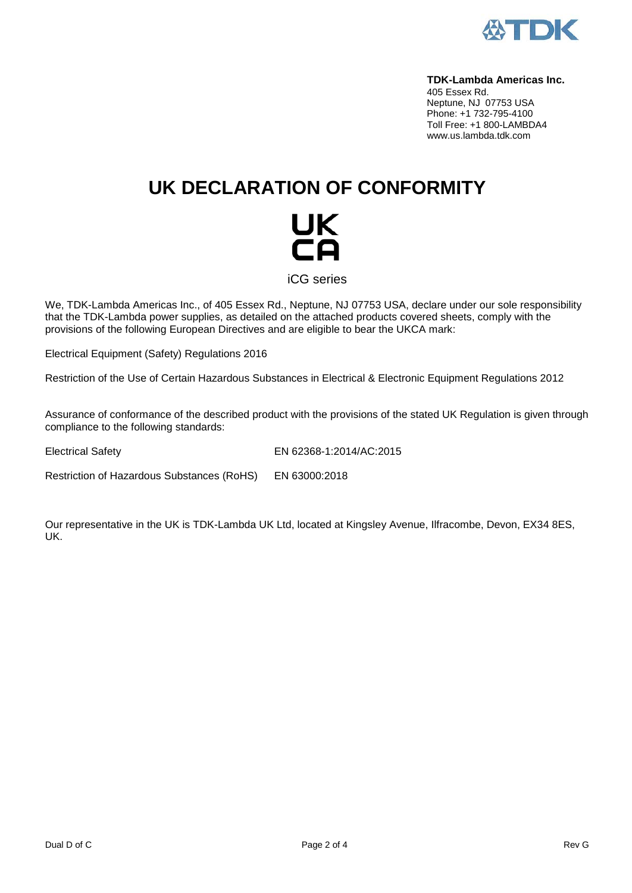

#### **TDK-Lambda Americas Inc.**

405 Essex Rd. Neptune, NJ 07753 USA Phone: +1 732-795-4100 Toll Free: +1 800-LAMBDA4 www.us.lambda.tdk.com

## **UK DECLARATION OF CONFORMITY**



iCG series

We, TDK-Lambda Americas Inc., of 405 Essex Rd., Neptune, NJ 07753 USA, declare under our sole responsibility that the TDK-Lambda power supplies, as detailed on the attached products covered sheets, comply with the provisions of the following European Directives and are eligible to bear the UKCA mark:

Electrical Equipment (Safety) Regulations 2016

Restriction of the Use of Certain Hazardous Substances in Electrical & Electronic Equipment Regulations 2012

Assurance of conformance of the described product with the provisions of the stated UK Regulation is given through compliance to the following standards:

Electrical Safety EN 62368-1:2014/AC:2015

Restriction of Hazardous Substances (RoHS) EN 63000:2018

Our representative in the UK is TDK-Lambda UK Ltd, located at Kingsley Avenue, Ilfracombe, Devon, EX34 8ES, UK.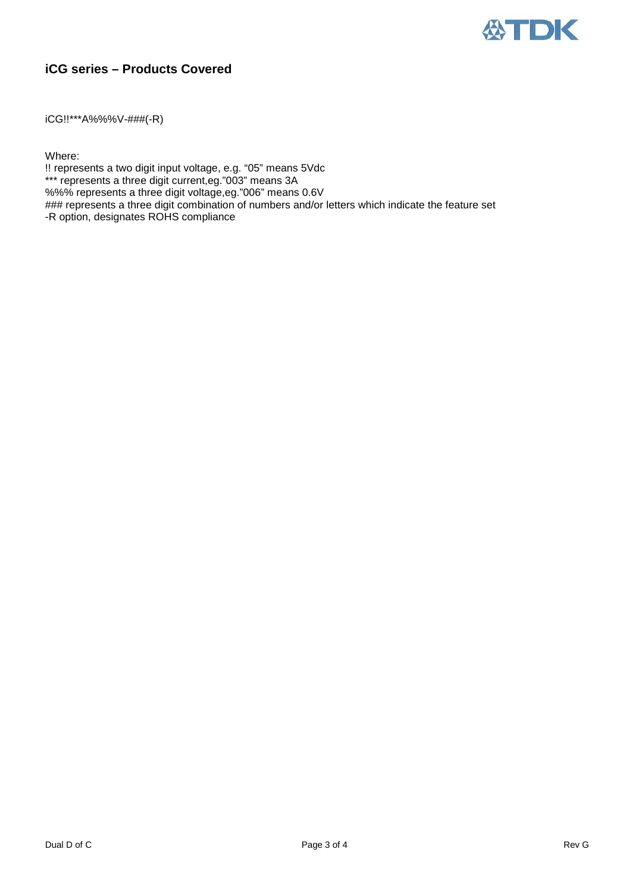

### **iCG series – Products Covered**

iCG!!\*\*\*A%%%V-###(-R)

Where:

!! represents a two digit input voltage, e.g. "05" means 5Vdc

\*\*\* represents a three digit current, eg. "003" means 3A

%%% represents a three digit voltage,eg."006" means 0.6V

### represents a three digit combination of numbers and/or letters which indicate the feature set -R option, designates ROHS compliance